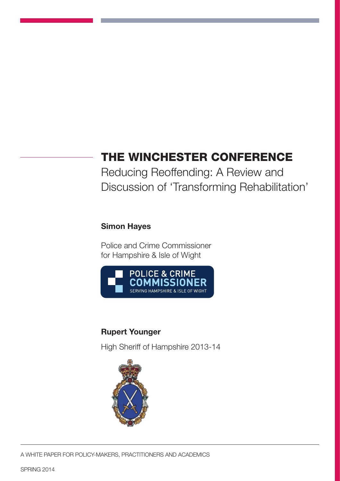# THE WINCHESTER CONFERENCE

Reducing Reoffending: A Review and Discussion of 'Transforming Rehabilitation'

## Simon Hayes

Police and Crime Commissioner for Hampshire & Isle of Wight



## Rupert Younger

High Sheriff of Hampshire 2013-14

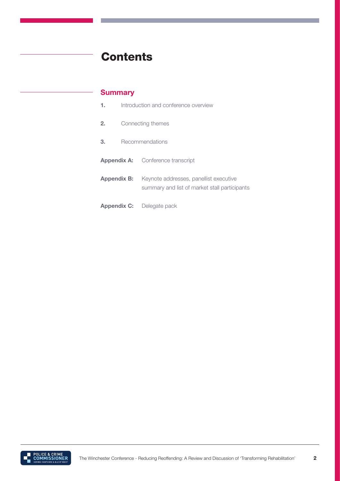# **Contents**

## **Summary**

|    | Introduction and conference overview |                                                                                                            |
|----|--------------------------------------|------------------------------------------------------------------------------------------------------------|
| 2. | Connecting themes                    |                                                                                                            |
| 3. | Recommendations                      |                                                                                                            |
|    |                                      | <b>Appendix A:</b> Conference transcript                                                                   |
|    |                                      | <b>Appendix B:</b> Keynote addresses, panellist executive<br>summary and list of market stall participants |
|    |                                      | <b>Appendix C:</b> Delegate pack                                                                           |

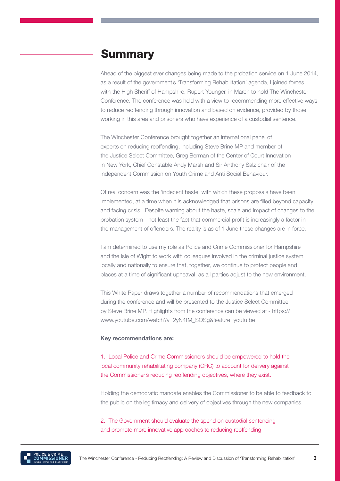## **Summary**

Ahead of the biggest ever changes being made to the probation service on 1 June 2014, as a result of the government's 'Transforming Rehabilitation' agenda, I joined forces with the High Sheriff of Hampshire, Rupert Younger, in March to hold The Winchester Conference. The conference was held with a view to recommending more effective ways to reduce reoffending through innovation and based on evidence, provided by those working in this area and prisoners who have experience of a custodial sentence.

The Winchester Conference brought together an international panel of experts on reducing reoffending, including Steve Brine MP and member of the Justice Select Committee, Greg Berman of the Center of Court Innovation in New York, Chief Constable Andy Marsh and Sir Anthony Salz chair of the independent Commission on Youth Crime and Anti Social Behaviour.

Of real concern was the 'indecent haste' with which these proposals have been implemented, at a time when it is acknowledged that prisons are filled beyond capacity and facing crisis. Despite warning about the haste, scale and impact of changes to the probation system - not least the fact that commercial profit is increasingly a factor in the management of offenders. The reality is as of 1 June these changes are in force.

I am determined to use my role as Police and Crime Commissioner for Hampshire and the Isle of Wight to work with colleagues involved in the criminal justice system locally and nationally to ensure that, together, we continue to protect people and places at a time of significant upheaval, as all parties adjust to the new environment.

This White Paper draws together a number of recommendations that emerged during the conference and will be presented to the Justice Select Committee by Steve Brine MP. Highlights from the conference can be viewed at - https:// www.youtube.com/watch?v=2yN4tM\_SQSg&feature=youtu.be

#### Key recommendations are:

1. Local Police and Crime Commissioners should be empowered to hold the local community rehabilitating company (CRC) to account for delivery against the Commissioner's reducing reoffending objectives, where they exist.

Holding the democratic mandate enables the Commissioner to be able to feedback to the public on the legitimacy and delivery of objectives through the new companies.

2. The Government should evaluate the spend on custodial sentencing and promote more innovative approaches to reducing reoffending

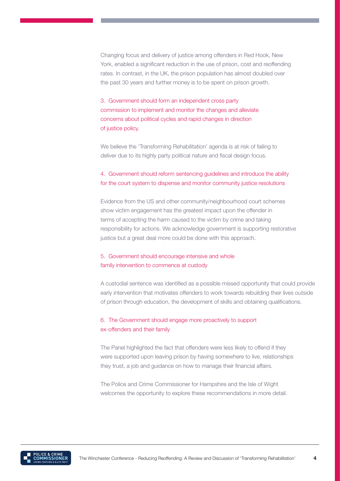Changing focus and delivery of justice among offenders in Red Hook, New York, enabled a significant reduction in the use of prison, cost and reoffending rates. In contrast, in the UK, the prison population has almost doubled over the past 30 years and further money is to be spent on prison growth.

3. Government should form an independent cross party commission to implement and monitor the changes and alleviate concerns about political cycles and rapid changes in direction of justice policy.

We believe the 'Transforming Rehabilitation' agenda is at risk of failing to deliver due to its highly party political nature and fiscal design focus.

## 4. Government should reform sentencing guidelines and introduce the ability for the court system to dispense and monitor community justice resolutions

Evidence from the US and other community/neighbourhood court schemes show victim engagement has the greatest impact upon the offender in terms of accepting the harm caused to the victim by crime and taking responsibility for actions. We acknowledge government is supporting restorative justice but a great deal more could be done with this approach.

## 5. Government should encourage intensive and whole family intervention to commence at custody

A custodial sentence was identified as a possible missed opportunity that could provide early intervention that motivates offenders to work towards rebuilding their lives outside of prison through education, the development of skills and obtaining qualifications.

## 6. The Government should engage more proactively to support ex-offenders and their family

The Panel highlighted the fact that offenders were less likely to offend if they were supported upon leaving prison by having somewhere to live, relationships they trust, a job and guidance on how to manage their financial affairs.

The Police and Crime Commissioner for Hampshire and the Isle of Wight welcomes the opportunity to explore these recommendations in more detail.

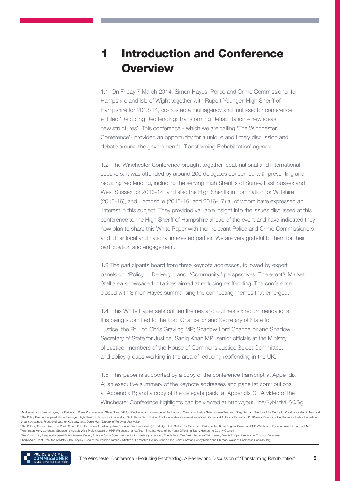# Introduction and Conference **Overview**

1.1 On Friday 7 March 2014, Simon Hayes, Police and Crime Commissioner for Hampshire and Isle of Wight together with Rupert Younger, High Sheriff of Hampshire for 2013-14, co-hosted a multiagency and multi-sector conference entitled 'Reducing Reoffending: Transforming Rehabilitation – new ideas, new structures'. This conference - which we are calling 'The Winchester Conference'- provided an opportunity for a unique and timely discussion and debate around the government's 'Transforming Rehabilitation' agenda.

1.2 The Winchester Conference brought together local, national and international speakers. It was attended by around 200 delegates concerned with preventing and reducing reoffending, including the serving High Sheriff's of Surrey, East Sussex and West Sussex for 2013-14, and also the High Sheriffs in nomination for Wiltshire (2015-16), and Hampshire (2015-16; and 2016-17) all of whom have expressed an interest in this subject. They provided valuable insight into the issues discussed at this conference to the High Sheriff of Hampshire ahead of the event and have indicated they now plan to share this White Paper with their relevant Police and Crime Commissioners and other local and national interested parties. We are very grateful to them for their participation and engagement.

1.3 The participants heard from three keynote addresses, followed by expert panels on: 'Policy '; 'Delivery '; and, 'Community ' perspectives. The event's Market Stall area showcased initiatives aimed at reducing reoffending. The conference closed with Simon Hayes summarising the connecting themes that emerged.

1.4 This White Paper sets out ten themes and outlines six recommendations. It is being submitted to the Lord Chancellor and Secretary of State for Justice, the Rt Hon Chris Grayling MP; Shadow Lord Chancellor and Shadow Secretary of State for Justice, Sadiq Khan MP; senior officials at the Ministry of Justice; members of the House of Commons Justice Select Committee; and policy groups working in the area of reducing reoffending in the UK.

1.5 This paper is supported by a copy of the conference transcript at Appendix A; an executive summary of the keynote addresses and panellist contributions at Appendix B; and a copy of the delegate pack at Appendix C. A video of the Winchester Conference highlights can be viewed at http://youtu.be/2yN4tM\_SQSg

1 Addresses from Simon Haves, the Police and Crime Commissioner: Steve Brine, MP for Winchester and a member of the House of Commons Justice Select Committee: and, Greg Berman, Director of the Centre for Court Innovation i e<br>The Policy Perspective panel: Rupert Younger, High Sheriff of Hampshire (moderator); Sir Anthony Salz, Chaired The Independent Commission on Youth Crime and Antisocial Behaviour; Phil Bowen, Director of the Centre for Ju Shauneen Lambe, Founder of Just for Kids Law; and, Daniel Hutt, Director of Policy at User Voice.

<sup>3</sup> The Delivery Perspective panel Barrie Crook, Chief Executive of the Hampshire Probation Trust (moderator); HH Judge Keith Cutler, Hon Recorder of Winchester; David Rogers, Governor, HMP Winchester; Ryan, a current inma Winchester; Kerry Longhorn, Spurgeons Invisible Walls Project based at HMP Winchester; and, Alison Smailes, Head of the Youth Offending Team, Hampshire County Council.

4 The Community Perspective panel Robin Jarman, Deputy Police & Crime Commissioner for Hampshire (moderator); The Rt Revd Tim Dakin, Bishop of Winchester; Dennis Phillips, Head of the Timpson Foundation; Charlie Adie, Chief Executive of Motiv8; Ian Langley, Head of the Troubled Families Initiative at Hampshire County Council; and, Chief Constable Andy Marsh and PC Mark Walsh of Hampshire Constabulary.

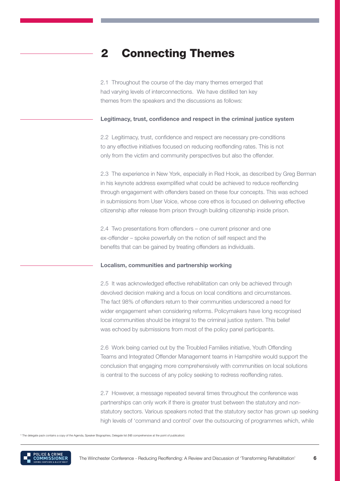# 2 Connecting Themes

2.1 Throughout the course of the day many themes emerged that had varying levels of interconnections. We have distilled ten key themes from the speakers and the discussions as follows:

#### Legitimacy, trust, confidence and respect in the criminal justice system

2.2 Legitimacy, trust, confidence and respect are necessary pre-conditions to any effective initiatives focused on reducing reoffending rates. This is not only from the victim and community perspectives but also the offender.

2.3 The experience in New York, especially in Red Hook, as described by Greg Berman in his keynote address exemplified what could be achieved to reduce reoffending through engagement with offenders based on these four concepts. This was echoed in submissions from User Voice, whose core ethos is focused on delivering effective citizenship after release from prison through building citizenship inside prison.

2.4 Two presentations from offenders – one current prisoner and one ex-offender – spoke powerfully on the notion of self respect and the benefits that can be gained by treating offenders as individuals.

#### Localism, communities and partnership working

2.5 It was acknowledged effective rehabilitation can only be achieved through devolved decision making and a focus on local conditions and circumstances. The fact 98% of offenders return to their communities underscored a need for wider engagement when considering reforms. Policymakers have long recognised local communities should be integral to the criminal justice system. This belief was echoed by submissions from most of the policy panel participants.

2.6 Work being carried out by the Troubled Families initiative, Youth Offending Teams and Integrated Offender Management teams in Hampshire would support the conclusion that engaging more comprehensively with communities on local solutions is central to the success of any policy seeking to redress reoffending rates.

2.7 However, a message repeated several times throughout the conference was partnerships can only work if there is greater trust between the statutory and nonstatutory sectors. Various speakers noted that the statutory sector has grown up seeking high levels of 'command and control' over the outsourcing of programmes which, while

The delegate pack contains a copy of the Agenda, Speaker Biographies, Delegate list (NB comprehensive at the point of publication)

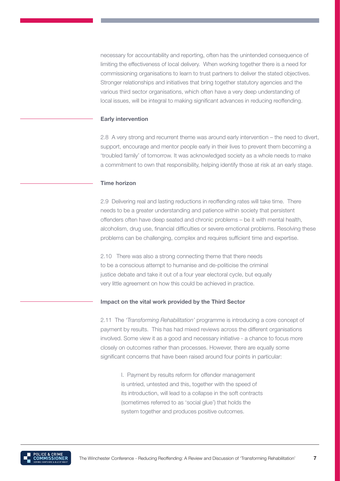necessary for accountability and reporting, often has the unintended consequence of limiting the effectiveness of local delivery. When working together there is a need for commissioning organisations to learn to trust partners to deliver the stated objectives. Stronger relationships and initiatives that bring together statutory agencies and the various third sector organisations, which often have a very deep understanding of local issues, will be integral to making significant advances in reducing reoffending.

#### Early intervention

2.8 A very strong and recurrent theme was around early intervention – the need to divert, support, encourage and mentor people early in their lives to prevent them becoming a 'troubled family' of tomorrow. It was acknowledged society as a whole needs to make a commitment to own that responsibility, helping identify those at risk at an early stage.

#### Time horizon

2.9 Delivering real and lasting reductions in reoffending rates will take time. There needs to be a greater understanding and patience within society that persistent offenders often have deep seated and chronic problems – be it with mental health, alcoholism, drug use, financial difficulties or severe emotional problems. Resolving these problems can be challenging, complex and requires sufficient time and expertise.

2.10 There was also a strong connecting theme that there needs to be a conscious attempt to humanise and de-politicise the criminal justice debate and take it out of a four year electoral cycle, but equally very little agreement on how this could be achieved in practice.

#### Impact on the vital work provided by the Third Sector

2.11 The *'Transforming Rehabilitation'* programme is introducing a core concept of payment by results. This has had mixed reviews across the different organisations involved. Some view it as a good and necessary initiative - a chance to focus more closely on outcomes rather than processes. However, there are equally some significant concerns that have been raised around four points in particular:

I. Payment by results reform for offender management is untried, untested and this, together with the speed of its introduction, will lead to a collapse in the soft contracts (sometimes referred to as 'social glue') that holds the system together and produces positive outcomes.

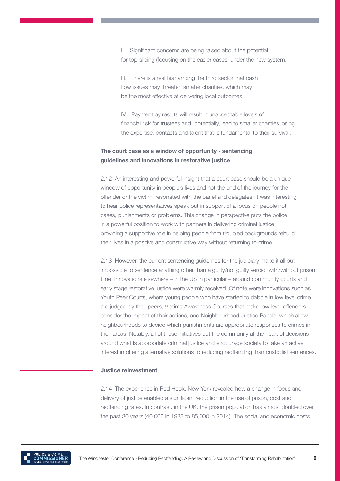II. Significant concerns are being raised about the potential for top-slicing (focusing on the easier cases) under the new system.

III. There is a real fear among the third sector that cash flow issues may threaten smaller charities, which may be the most effective at delivering local outcomes.

IV. Payment by results will result in unacceptable levels of financial risk for trustees and, potentially, lead to smaller charities losing the expertise, contacts and talent that is fundamental to their survival.

## The court case as a window of opportunity - sentencing guidelines and innovations in restorative justice

2.12 An interesting and powerful insight that a court case should be a unique window of opportunity in people's lives and not the end of the journey for the offender or the victim, resonated with the panel and delegates. It was interesting to hear police representatives speak out in support of a focus on people not cases, punishments or problems. This change in perspective puts the police in a powerful position to work with partners in delivering criminal justice, providing a supportive role in helping people from troubled backgrounds rebuild their lives in a positive and constructive way without returning to crime.

2.13 However, the current sentencing guidelines for the judiciary make it all but impossible to sentence anything other than a guilty/not guilty verdict with/without prison time. Innovations elsewhere – in the US in particular – around community courts and early stage restorative justice were warmly received. Of note were innovations such as Youth Peer Courts, where young people who have started to dabble in low level crime are judged by their peers, Victims Awareness Courses that make low level offenders consider the impact of their actions, and Neighbourhood Justice Panels, which allow neighbourhoods to decide which punishments are appropriate responses to crimes in their areas. Notably, all of these initiatives put the community at the heart of decisions around what is appropriate criminal justice and encourage society to take an active interest in offering alternative solutions to reducing reoffending than custodial sentences.

#### Justice reinvestment

2.14 The experience in Red Hook, New York revealed how a change in focus and delivery of justice enabled a significant reduction in the use of prison, cost and reoffending rates. In contrast, in the UK, the prison population has almost doubled over the past 30 years (40,000 in 1983 to 85,000 in 2014). The social and economic costs

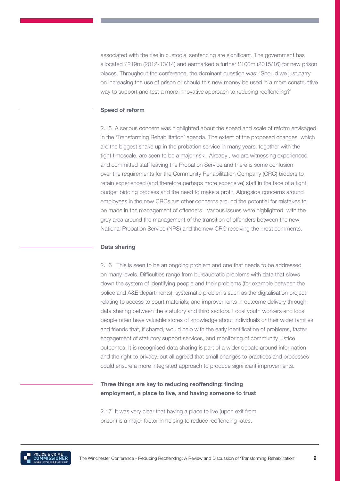associated with the rise in custodial sentencing are significant. The government has allocated £219m (2012-13/14) and earmarked a further £100m (2015/16) for new prison places. Throughout the conference, the dominant question was: 'Should we just carry on increasing the use of prison or should this new money be used in a more constructive way to support and test a more innovative approach to reducing reoffending?'

#### Speed of reform

2.15 A serious concern was highlighted about the speed and scale of reform envisaged in the 'Transforming Rehabilitation' agenda. The extent of the proposed changes, which are the biggest shake up in the probation service in many years, together with the tight timescale, are seen to be a major risk. Already , we are witnessing experienced and committed staff leaving the Probation Service and there is some confusion over the requirements for the Community Rehabilitation Company (CRC) bidders to retain experienced (and therefore perhaps more expensive) staff in the face of a tight budget bidding process and the need to make a profit. Alongside concerns around employees in the new CRCs are other concerns around the potential for mistakes to be made in the management of offenders. Various issues were highlighted, with the grey area around the management of the transition of offenders between the new National Probation Service (NPS) and the new CRC receiving the most comments.

#### Data sharing

2.16 This is seen to be an ongoing problem and one that needs to be addressed on many levels. Difficulties range from bureaucratic problems with data that slows down the system of identifying people and their problems (for example between the police and A&E departments); systematic problems such as the digitalisation project relating to access to court materials; and improvements in outcome delivery through data sharing between the statutory and third sectors. Local youth workers and local people often have valuable stores of knowledge about individuals or their wider families and friends that, if shared, would help with the early identification of problems, faster engagement of statutory support services, and monitoring of community justice outcomes. It is recognised data sharing is part of a wider debate around information and the right to privacy, but all agreed that small changes to practices and processes could ensure a more integrated approach to produce significant improvements.

### Three things are key to reducing reoffending: finding employment, a place to live, and having someone to trust

2.17 It was very clear that having a place to live (upon exit from prison) is a major factor in helping to reduce reoffending rates.

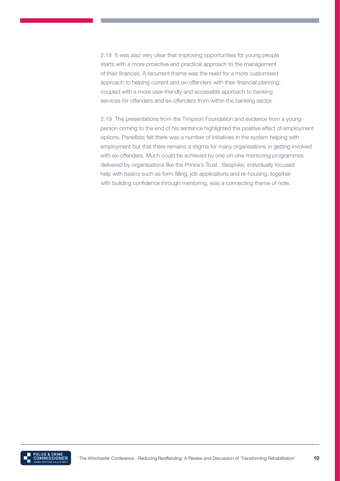2.18 It was also very clear that improving opportunities for young people starts with a more proactive and practical approach to the management of their finances. A recurrent theme was the need for a more customised approach to helping current and ex-offenders with their financial planning; coupled with a more user-friendly and accessible approach to banking services for offenders and ex-offenders from within the banking sector.

2.19 The presentations from the Timpson Foundation and evidence from a young person coming to the end of his sentence highlighted the positive effect of employment options. Panellists felt there was a number of initiatives in the system helping with employment but that there remains a stigma for many organisations in getting involved with ex-offenders. Much could be achieved by one-on-one mentoring programmes delivered by organisations like the Prince's Trust. Bespoke, individually focused help with basics such as form filling, job applications and re-housing, together with building confidence through mentoring, was a connecting theme of note.

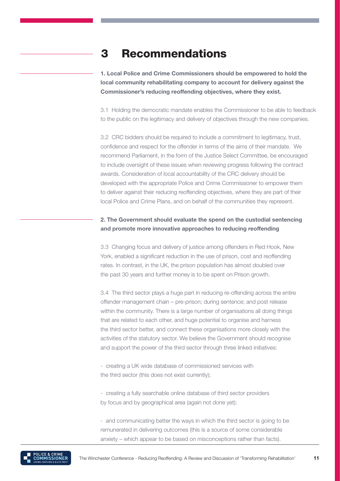# 3 Recommendations

1. Local Police and Crime Commissioners should be empowered to hold the local community rehabilitating company to account for delivery against the Commissioner's reducing reoffending objectives, where they exist.

3.1 Holding the democratic mandate enables the Commissioner to be able to feedback to the public on the legitimacy and delivery of objectives through the new companies.

3.2 CRC bidders should be required to include a commitment to legitimacy, trust, confidence and respect for the offender in terms of the aims of their mandate. We recommend Parliament, in the form of the Justice Select Committee, be encouraged to include oversight of these issues when reviewing progress following the contract awards. Consideration of local accountability of the CRC delivery should be developed with the appropriate Police and Crime Commissioner to empower them to deliver against their reducing reoffending objectives, where they are part of their local Police and Crime Plans, and on behalf of the communities they represent.

## 2. The Government should evaluate the spend on the custodial sentencing and promote more innovative approaches to reducing reoffending

3.3 Changing focus and delivery of justice among offenders in Red Hook, New York, enabled a significant reduction in the use of prison, cost and reoffending rates. In contrast, in the UK, the prison population has almost doubled over the past 30 years and further money is to be spent on Prison growth.

3.4 The third sector plays a huge part in reducing re-offending across the entire offender management chain – pre-prison; during sentence; and post release within the community. There is a large number of organisations all doing things that are related to each other, and huge potential to organise and harness the third sector better, and connect these organisations more closely with the activities of the statutory sector. We believe the Government should recognise and support the power of the third sector through three linked initiatives:

- creating a UK wide database of commissioned services with the third sector (this does not exist currently);

- creating a fully searchable online database of third sector providers by focus and by geographical area (again not done yet);

- and communicating better the ways in which the third sector is going to be remunerated in delivering outcomes (this is a source of some considerable anxiety – which appear to be based on misconceptions rather than facts).

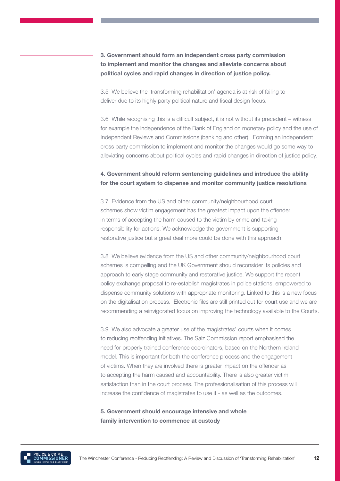3. Government should form an independent cross party commission to implement and monitor the changes and alleviate concerns about political cycles and rapid changes in direction of justice policy.

3.5 We believe the 'transforming rehabilitation' agenda is at risk of failing to deliver due to its highly party political nature and fiscal design focus.

3.6 While recognising this is a difficult subject, it is not without its precedent – witness for example the independence of the Bank of England on monetary policy and the use of Independent Reviews and Commissions (banking and other). Forming an independent cross party commission to implement and monitor the changes would go some way to alleviating concerns about political cycles and rapid changes in direction of justice policy.

## 4. Government should reform sentencing guidelines and introduce the ability for the court system to dispense and monitor community justice resolutions

3.7 Evidence from the US and other community/neighbourhood court schemes show victim engagement has the greatest impact upon the offender in terms of accepting the harm caused to the victim by crime and taking responsibility for actions. We acknowledge the government is supporting restorative justice but a great deal more could be done with this approach.

3.8 We believe evidence from the US and other community/neighbourhood court schemes is compelling and the UK Government should reconsider its policies and approach to early stage community and restorative justice. We support the recent policy exchange proposal to re-establish magistrates in police stations, empowered to dispense community solutions with appropriate monitoring. Linked to this is a new focus on the digitalisation process. Electronic files are still printed out for court use and we are recommending a reinvigorated focus on improving the technology available to the Courts.

3.9 We also advocate a greater use of the magistrates' courts when it comes to reducing reoffending initiatives. The Salz Commission report emphasised the need for properly trained conference coordinators, based on the Northern Ireland model. This is important for both the conference process and the engagement of victims. When they are involved there is greater impact on the offender as to accepting the harm caused and accountability. There is also greater victim satisfaction than in the court process. The professionalisation of this process will increase the confidence of magistrates to use it - as well as the outcomes.

### 5. Government should encourage intensive and whole family intervention to commence at custody

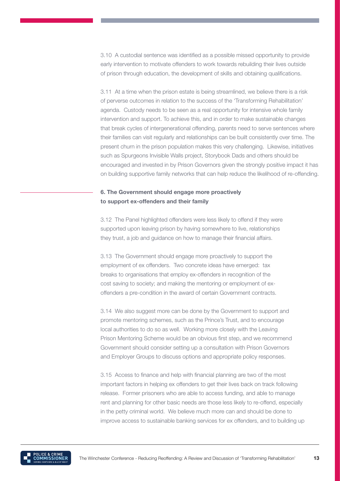3.10 A custodial sentence was identified as a possible missed opportunity to provide early intervention to motivate offenders to work towards rebuilding their lives outside of prison through education, the development of skills and obtaining qualifications.

3.11 At a time when the prison estate is being streamlined, we believe there is a risk of perverse outcomes in relation to the success of the 'Transforming Rehabilitation' agenda. Custody needs to be seen as a real opportunity for intensive whole family intervention and support. To achieve this, and in order to make sustainable changes that break cycles of intergenerational offending, parents need to serve sentences where their families can visit regularly and relationships can be built consistently over time. The present churn in the prison population makes this very challenging. Likewise, initiatives such as Spurgeons Invisible Walls project, Storybook Dads and others should be encouraged and invested in by Prison Governors given the strongly positive impact it has on building supportive family networks that can help reduce the likelihood of re-offending.

### 6. The Government should engage more proactively to support ex-offenders and their family

3.12 The Panel highlighted offenders were less likely to offend if they were supported upon leaving prison by having somewhere to live, relationships they trust, a job and guidance on how to manage their financial affairs.

3.13 The Government should engage more proactively to support the employment of ex offenders. Two concrete ideas have emerged: tax breaks to organisations that employ ex-offenders in recognition of the cost saving to society; and making the mentoring or employment of exoffenders a pre-condition in the award of certain Government contracts.

3.14 We also suggest more can be done by the Government to support and promote mentoring schemes, such as the Prince's Trust, and to encourage local authorities to do so as well. Working more closely with the Leaving Prison Mentoring Scheme would be an obvious first step, and we recommend Government should consider setting up a consultation with Prison Governors and Employer Groups to discuss options and appropriate policy responses.

3.15 Access to finance and help with financial planning are two of the most important factors in helping ex offenders to get their lives back on track following release. Former prisoners who are able to access funding, and able to manage rent and planning for other basic needs are those less likely to re-offend, especially in the petty criminal world. We believe much more can and should be done to improve access to sustainable banking services for ex offenders, and to building up